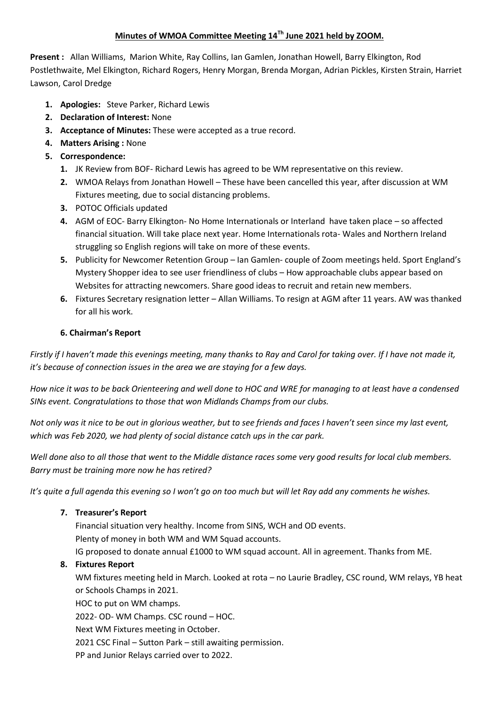# **Minutes of WMOA Committee Meeting 14Th June 2021 held by ZOOM.**

**Present :** Allan Williams, Marion White, Ray Collins, Ian Gamlen, Jonathan Howell, Barry Elkington, Rod Postlethwaite, Mel Elkington, Richard Rogers, Henry Morgan, Brenda Morgan, Adrian Pickles, Kirsten Strain, Harriet Lawson, Carol Dredge

- **1. Apologies:** Steve Parker, Richard Lewis
- **2. Declaration of Interest:** None
- **3. Acceptance of Minutes:** These were accepted as a true record.
- **4. Matters Arising :** None
- **5. Correspondence:**
	- **1.** JK Review from BOF- Richard Lewis has agreed to be WM representative on this review.
	- **2.** WMOA Relays from Jonathan Howell These have been cancelled this year, after discussion at WM Fixtures meeting, due to social distancing problems.
	- **3.** POTOC Officials updated
	- **4.** AGM of EOC- Barry Elkington- No Home Internationals or Interland have taken place so affected financial situation. Will take place next year. Home Internationals rota- Wales and Northern Ireland struggling so English regions will take on more of these events.
	- **5.** Publicity for Newcomer Retention Group Ian Gamlen- couple of Zoom meetings held. Sport England's Mystery Shopper idea to see user friendliness of clubs – How approachable clubs appear based on Websites for attracting newcomers. Share good ideas to recruit and retain new members.
	- **6.** Fixtures Secretary resignation letter Allan Williams. To resign at AGM after 11 years. AW was thanked for all his work.

# **6. Chairman's Report**

*Firstly if I haven't made this evenings meeting, many thanks to Ray and Carol for taking over. If I have not made it, it's because of connection issues in the area we are staying for a few days.*

*How nice it was to be back Orienteering and well done to HOC and WRE for managing to at least have a condensed SINs event. Congratulations to those that won Midlands Champs from our clubs.*

*Not only was it nice to be out in glorious weather, but to see friends and faces I haven't seen since my last event, which was Feb 2020, we had plenty of social distance catch ups in the car park.*

*Well done also to all those that went to the Middle distance races some very good results for local club members. Barry must be training more now he has retired?*

*It's quite a full agenda this evening so I won't go on too much but will let Ray add any comments he wishes.*

# **7. Treasurer's Report**

Financial situation very healthy. Income from SINS, WCH and OD events. Plenty of money in both WM and WM Squad accounts. IG proposed to donate annual £1000 to WM squad account. All in agreement. Thanks from ME.

# **8. Fixtures Report**

WM fixtures meeting held in March. Looked at rota – no Laurie Bradley, CSC round, WM relays, YB heat or Schools Champs in 2021.

HOC to put on WM champs.

2022- OD- WM Champs. CSC round – HOC.

Next WM Fixtures meeting in October.

2021 CSC Final – Sutton Park – still awaiting permission.

PP and Junior Relays carried over to 2022.